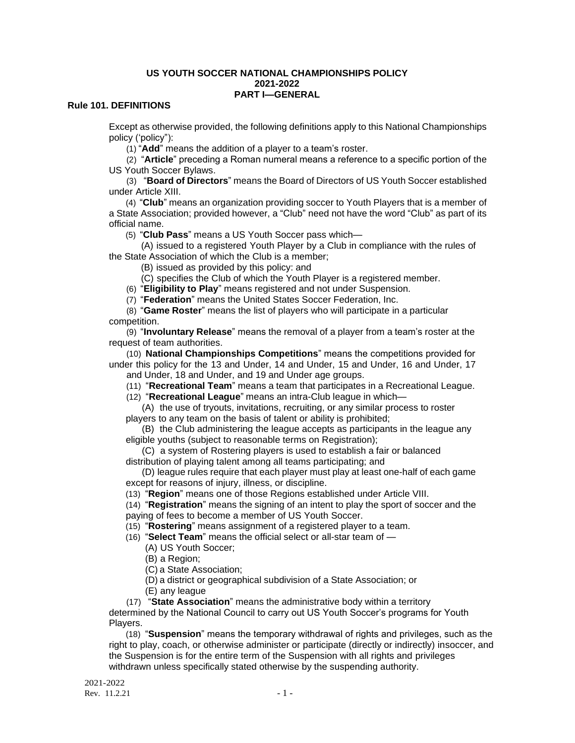### **US YOUTH SOCCER NATIONAL CHAMPIONSHIPS POLICY 2021-2022 PART I—GENERAL**

## **Rule 101. DEFINITIONS**

Except as otherwise provided, the following definitions apply to this National Championships policy ('policy"):

(1) "**Add**" means the addition of a player to a team's roster.

(2) "**Article**" preceding a Roman numeral means a reference to a specific portion of the US Youth Soccer Bylaws.

(3) "**Board of Directors**" means the Board of Directors of US Youth Soccer established under Article XIII.

(4) "**Club**" means an organization providing soccer to Youth Players that is a member of a State Association; provided however, a "Club" need not have the word "Club" as part of its official name.

(5) "**Club Pass**" means a US Youth Soccer pass which—

(A) issued to a registered Youth Player by a Club in compliance with the rules of the State Association of which the Club is a member;

(B) issued as provided by this policy: and

(C) specifies the Club of which the Youth Player is a registered member.

(6) "**Eligibility to Play**" means registered and not under Suspension.

(7) "**Federation**" means the United States Soccer Federation, Inc.

(8) "**Game Roster**" means the list of players who will participate in a particular competition.

(9) "**Involuntary Release**" means the removal of a player from a team's roster at the request of team authorities.

(10) **National Championships Competitions**" means the competitions provided for under this policy for the 13 and Under, 14 and Under, 15 and Under, 16 and Under, 17 and Under, 18 and Under, and 19 and Under age groups.

(11) "**Recreational Team**" means a team that participates in a Recreational League.

(12) "**Recreational League**" means an intra-Club league in which—

(A) the use of tryouts, invitations, recruiting, or any similar process to roster players to any team on the basis of talent or ability is prohibited;

(B) the Club administering the league accepts as participants in the league any eligible youths (subject to reasonable terms on Registration);

(C) a system of Rostering players is used to establish a fair or balanced distribution of playing talent among all teams participating; and

(D) league rules require that each player must play at least one-half of each game except for reasons of injury, illness, or discipline.

(13) "**Region**" means one of those Regions established under Article VIII.

(14) "**Registration**" means the signing of an intent to play the sport of soccer and the paying of fees to become a member of US Youth Soccer.

(15) "**Rostering**" means assignment of a registered player to a team.

(16) "**Select Team**" means the official select or all-star team of —

(A) US Youth Soccer;

(B) a Region;

(C) a State Association;

(D) a district or geographical subdivision of a State Association; or

(E) any league

(17) "**State Association**" means the administrative body within a territory

determined by the National Council to carry out US Youth Soccer's programs for Youth Players.

(18) "**Suspension**" means the temporary withdrawal of rights and privileges, such as the right to play, coach, or otherwise administer or participate (directly or indirectly) insoccer, and the Suspension is for the entire term of the Suspension with all rights and privileges withdrawn unless specifically stated otherwise by the suspending authority.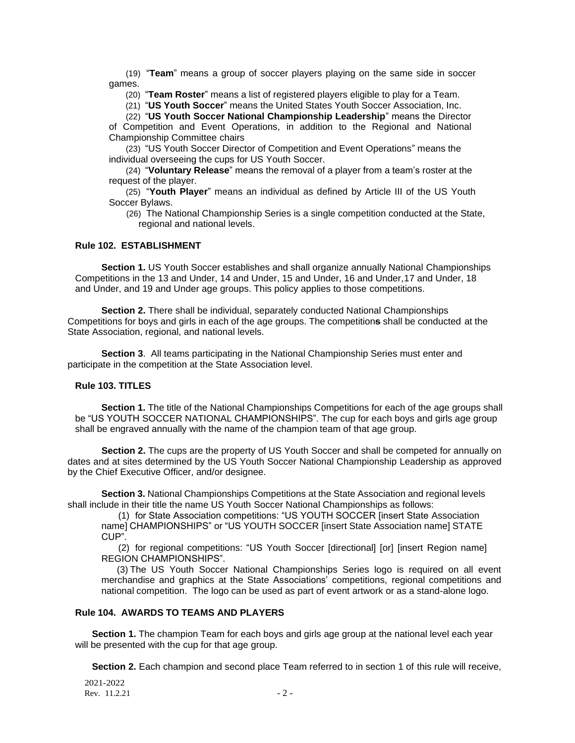(19) "**Team**" means a group of soccer players playing on the same side in soccer games.

(20) "**Team Roster**" means a list of registered players eligible to play for a Team.

(21) "**US Youth Soccer**" means the United States Youth Soccer Association, Inc.

(22) "**US Youth Soccer National Championship Leadership**" means the Director

of Competition and Event Operations, in addition to the Regional and National Championship Committee chairs

(23) "US Youth Soccer Director of Competition and Event Operations" means the individual overseeing the cups for US Youth Soccer.

(24) "**Voluntary Release**" means the removal of a player from a team's roster at the request of the player.

(25) "**Youth Player**" means an individual as defined by Article III of the US Youth Soccer Bylaws.

(26) The National Championship Series is a single competition conducted at the State, regional and national levels.

## **Rule 102. ESTABLISHMENT**

**Section 1.** US Youth Soccer establishes and shall organize annually National Championships Competitions in the 13 and Under, 14 and Under, 15 and Under, 16 and Under,17 and Under, 18 and Under, and 19 and Under age groups. This policy applies to those competitions.

 **Section 2.** There shall be individual, separately conducted National Championships Competitions for boys and girls in each of the age groups. The competition**s** shall be conducted at the State Association, regional, and national levels.

 **Section 3**. All teams participating in the National Championship Series must enter and participate in the competition at the State Association level.

## **Rule 103. TITLES**

**Section 1.** The title of the National Championships Competitions for each of the age groups shall be "US YOUTH SOCCER NATIONAL CHAMPIONSHIPS". The cup for each boys and girls age group shall be engraved annually with the name of the champion team of that age group.

**Section 2.** The cups are the property of US Youth Soccer and shall be competed for annually on dates and at sites determined by the US Youth Soccer National Championship Leadership as approved by the Chief Executive Officer, and/or designee.

**Section 3.** National Championships Competitions at the State Association and regional levels shall include in their title the name US Youth Soccer National Championships as follows:

(1) for State Association competitions: "US YOUTH SOCCER [insert State Association name] CHAMPIONSHIPS" or "US YOUTH SOCCER [insert State Association name] STATE CUP".

(2) for regional competitions: "US Youth Soccer [directional] [or] [insert Region name] REGION CHAMPIONSHIPS".

(3) The US Youth Soccer National Championships Series logo is required on all event merchandise and graphics at the State Associations' competitions, regional competitions and national competition. The logo can be used as part of event artwork or as a stand-alone logo.

## **Rule 104. AWARDS TO TEAMS AND PLAYERS**

**Section 1.** The champion Team for each boys and girls age group at the national level each year will be presented with the cup for that age group.

**Section 2.** Each champion and second place Team referred to in section 1 of this rule will receive,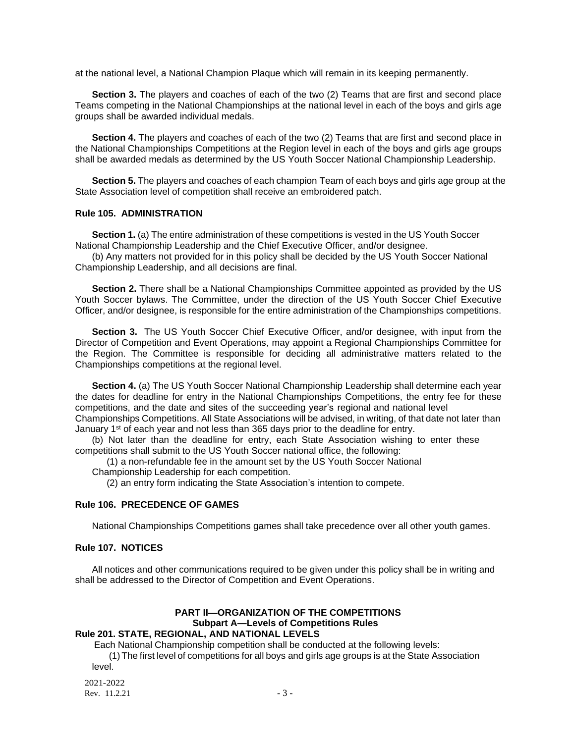at the national level, a National Champion Plaque which will remain in its keeping permanently.

**Section 3.** The players and coaches of each of the two (2) Teams that are first and second place Teams competing in the National Championships at the national level in each of the boys and girls age groups shall be awarded individual medals.

**Section 4.** The players and coaches of each of the two (2) Teams that are first and second place in the National Championships Competitions at the Region level in each of the boys and girls age groups shall be awarded medals as determined by the US Youth Soccer National Championship Leadership.

**Section 5.** The players and coaches of each champion Team of each boys and girls age group at the State Association level of competition shall receive an embroidered patch.

## **Rule 105. ADMINISTRATION**

**Section 1.** (a) The entire administration of these competitions is vested in the US Youth Soccer National Championship Leadership and the Chief Executive Officer, and/or designee.

(b) Any matters not provided for in this policy shall be decided by the US Youth Soccer National Championship Leadership, and all decisions are final.

**Section 2.** There shall be a National Championships Committee appointed as provided by the US Youth Soccer bylaws. The Committee, under the direction of the US Youth Soccer Chief Executive Officer, and/or designee, is responsible for the entire administration of the Championships competitions.

**Section 3.** The US Youth Soccer Chief Executive Officer, and/or designee, with input from the Director of Competition and Event Operations, may appoint a Regional Championships Committee for the Region. The Committee is responsible for deciding all administrative matters related to the Championships competitions at the regional level.

**Section 4.** (a) The US Youth Soccer National Championship Leadership shall determine each year the dates for deadline for entry in the National Championships Competitions, the entry fee for these competitions, and the date and sites of the succeeding year's regional and national level Championships Competitions. All State Associations will be advised, in writing, of that date not later than January 1<sup>st</sup> of each year and not less than 365 days prior to the deadline for entry.

(b) Not later than the deadline for entry, each State Association wishing to enter these competitions shall submit to the US Youth Soccer national office, the following:

(1) a non-refundable fee in the amount set by the US Youth Soccer National Championship Leadership for each competition.

(2) an entry form indicating the State Association's intention to compete.

#### **Rule 106. PRECEDENCE OF GAMES**

National Championships Competitions games shall take precedence over all other youth games.

### **Rule 107. NOTICES**

All notices and other communications required to be given under this policy shall be in writing and shall be addressed to the Director of Competition and Event Operations.

#### **PART II—ORGANIZATION OF THE COMPETITIONS Subpart A—Levels of Competitions Rules Rule 201. STATE, REGIONAL, AND NATIONAL LEVELS**

Each National Championship competition shall be conducted at the following levels:

(1) The first level of competitions for all boys and girls age groups is at the State Association level.

2021-2022 Rev.  $11.2.21$  - 3 -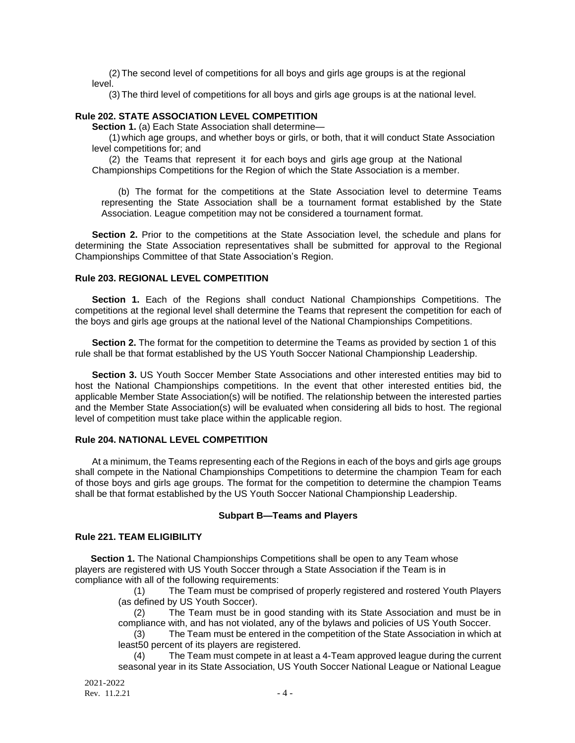(2) The second level of competitions for all boys and girls age groups is at the regional level.

(3) The third level of competitions for all boys and girls age groups is at the national level.

## **Rule 202. STATE ASSOCIATION LEVEL COMPETITION**

**Section 1.** (a) Each State Association shall determine—

(1) which age groups, and whether boys or girls, or both, that it will conduct State Association level competitions for; and

(2) the Teams that represent it for each boys and girls age group at the National Championships Competitions for the Region of which the State Association is a member.

(b) The format for the competitions at the State Association level to determine Teams representing the State Association shall be a tournament format established by the State Association. League competition may not be considered a tournament format.

**Section 2.** Prior to the competitions at the State Association level, the schedule and plans for determining the State Association representatives shall be submitted for approval to the Regional Championships Committee of that State Association's Region.

# **Rule 203. REGIONAL LEVEL COMPETITION**

**Section 1.** Each of the Regions shall conduct National Championships Competitions. The competitions at the regional level shall determine the Teams that represent the competition for each of the boys and girls age groups at the national level of the National Championships Competitions.

**Section 2.** The format for the competition to determine the Teams as provided by section 1 of this rule shall be that format established by the US Youth Soccer National Championship Leadership.

**Section 3.** US Youth Soccer Member State Associations and other interested entities may bid to host the National Championships competitions. In the event that other interested entities bid, the applicable Member State Association(s) will be notified. The relationship between the interested parties and the Member State Association(s) will be evaluated when considering all bids to host. The regional level of competition must take place within the applicable region.

## **Rule 204. NATIONAL LEVEL COMPETITION**

At a minimum, the Teams representing each of the Regions in each of the boys and girls age groups shall compete in the National Championships Competitions to determine the champion Team for each of those boys and girls age groups. The format for the competition to determine the champion Teams shall be that format established by the US Youth Soccer National Championship Leadership.

## **Subpart B—Teams and Players**

# **Rule 221. TEAM ELIGIBILITY**

**Section 1.** The National Championships Competitions shall be open to any Team whose players are registered with US Youth Soccer through a State Association if the Team is in compliance with all of the following requirements:

> (1) The Team must be comprised of properly registered and rostered Youth Players (as defined by US Youth Soccer).

> (2) The Team must be in good standing with its State Association and must be in compliance with, and has not violated, any of the bylaws and policies of US Youth Soccer.

> (3) The Team must be entered in the competition of the State Association in which at least50 percent of its players are registered.

> (4) The Team must compete in at least a 4-Team approved league during the current seasonal year in its State Association, US Youth Soccer National League or National League

2021-2022 Rev.  $11.2.21$  - 4 -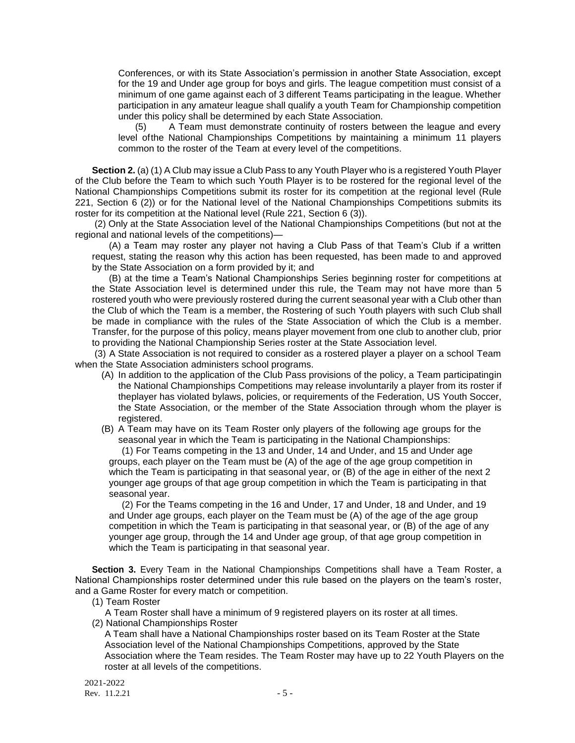Conferences, or with its State Association's permission in another State Association, except for the 19 and Under age group for boys and girls. The league competition must consist of a minimum of one game against each of 3 different Teams participating in the league. Whether participation in any amateur league shall qualify a youth Team for Championship competition under this policy shall be determined by each State Association.

(5) A Team must demonstrate continuity of rosters between the league and every level ofthe National Championships Competitions by maintaining a minimum 11 players common to the roster of the Team at every level of the competitions.

**Section 2.** (a) (1) A Club may issue a Club Pass to any Youth Player who is a registered Youth Player of the Club before the Team to which such Youth Player is to be rostered for the regional level of the National Championships Competitions submit its roster for its competition at the regional level (Rule 221, Section 6 (2)) or for the National level of the National Championships Competitions submits its roster for its competition at the National level (Rule 221, Section 6 (3)).

(2) Only at the State Association level of the National Championships Competitions (but not at the regional and national levels of the competitions)—

(A) a Team may roster any player not having a Club Pass of that Team's Club if a written request, stating the reason why this action has been requested, has been made to and approved by the State Association on a form provided by it; and

(B) at the time a Team's National Championships Series beginning roster for competitions at the State Association level is determined under this rule, the Team may not have more than 5 rostered youth who were previously rostered during the current seasonal year with a Club other than the Club of which the Team is a member, the Rostering of such Youth players with such Club shall be made in compliance with the rules of the State Association of which the Club is a member. Transfer, for the purpose of this policy, means player movement from one club to another club, prior to providing the National Championship Series roster at the State Association level.

(3) A State Association is not required to consider as a rostered player a player on a school Team when the State Association administers school programs.

- (A) In addition to the application of the Club Pass provisions of the policy, a Team participatingin the National Championships Competitions may release involuntarily a player from its roster if theplayer has violated bylaws, policies, or requirements of the Federation, US Youth Soccer, the State Association, or the member of the State Association through whom the player is registered.
- (B) A Team may have on its Team Roster only players of the following age groups for the seasonal year in which the Team is participating in the National Championships:

(1) For Teams competing in the 13 and Under, 14 and Under, and 15 and Under age groups, each player on the Team must be (A) of the age of the age group competition in which the Team is participating in that seasonal year, or (B) of the age in either of the next 2 younger age groups of that age group competition in which the Team is participating in that seasonal year.

(2) For the Teams competing in the 16 and Under, 17 and Under, 18 and Under, and 19 and Under age groups, each player on the Team must be (A) of the age of the age group competition in which the Team is participating in that seasonal year, or (B) of the age of any younger age group, through the 14 and Under age group, of that age group competition in which the Team is participating in that seasonal year.

**Section 3.** Every Team in the National Championships Competitions shall have a Team Roster, a National Championships roster determined under this rule based on the players on the team's roster, and a Game Roster for every match or competition.

(1) Team Roster

A Team Roster shall have a minimum of 9 registered players on its roster at all times.

(2) National Championships Roster

A Team shall have a National Championships roster based on its Team Roster at the State Association level of the National Championships Competitions, approved by the State Association where the Team resides. The Team Roster may have up to 22 Youth Players on the roster at all levels of the competitions.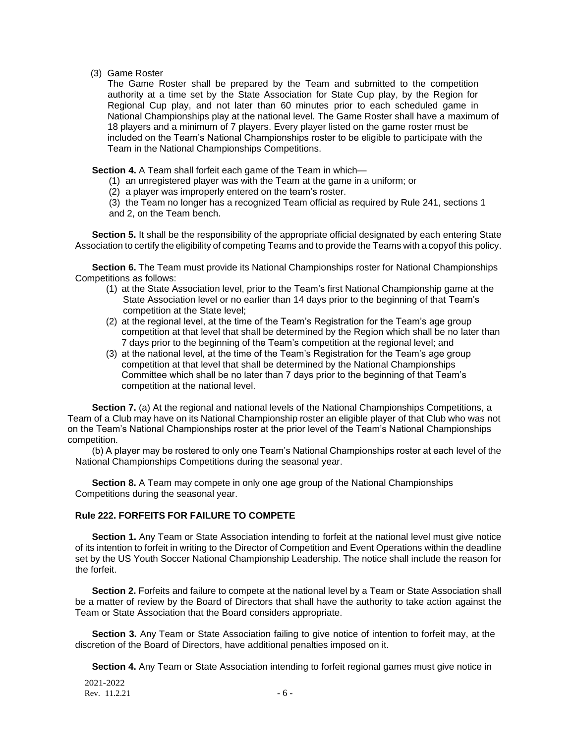(3) Game Roster

The Game Roster shall be prepared by the Team and submitted to the competition authority at a time set by the State Association for State Cup play, by the Region for Regional Cup play, and not later than 60 minutes prior to each scheduled game in National Championships play at the national level. The Game Roster shall have a maximum of 18 players and a minimum of 7 players. Every player listed on the game roster must be included on the Team's National Championships roster to be eligible to participate with the Team in the National Championships Competitions.

**Section 4.** A Team shall forfeit each game of the Team in which—

- (1) an unregistered player was with the Team at the game in a uniform; or
- (2) a player was improperly entered on the team's roster.

(3) the Team no longer has a recognized Team official as required by Rule 241, sections 1 and 2, on the Team bench.

**Section 5.** It shall be the responsibility of the appropriate official designated by each entering State Association to certify the eligibility of competing Teams and to provide the Teams with a copyof this policy.

**Section 6.** The Team must provide its National Championships roster for National Championships Competitions as follows:

- (1) at the State Association level, prior to the Team's first National Championship game at the State Association level or no earlier than 14 days prior to the beginning of that Team's competition at the State level;
- (2) at the regional level, at the time of the Team's Registration for the Team's age group competition at that level that shall be determined by the Region which shall be no later than 7 days prior to the beginning of the Team's competition at the regional level; and
- (3) at the national level, at the time of the Team's Registration for the Team's age group competition at that level that shall be determined by the National Championships Committee which shall be no later than 7 days prior to the beginning of that Team's competition at the national level.

**Section 7.** (a) At the regional and national levels of the National Championships Competitions, a Team of a Club may have on its National Championship roster an eligible player of that Club who was not on the Team's National Championships roster at the prior level of the Team's National Championships competition.

(b) A player may be rostered to only one Team's National Championships roster at each level of the National Championships Competitions during the seasonal year.

**Section 8.** A Team may compete in only one age group of the National Championships Competitions during the seasonal year.

# **Rule 222. FORFEITS FOR FAILURE TO COMPETE**

**Section 1.** Any Team or State Association intending to forfeit at the national level must give notice of its intention to forfeit in writing to the Director of Competition and Event Operations within the deadline set by the US Youth Soccer National Championship Leadership. The notice shall include the reason for the forfeit.

**Section 2.** Forfeits and failure to compete at the national level by a Team or State Association shall be a matter of review by the Board of Directors that shall have the authority to take action against the Team or State Association that the Board considers appropriate.

**Section 3.** Any Team or State Association failing to give notice of intention to forfeit may, at the discretion of the Board of Directors, have additional penalties imposed on it.

**Section 4.** Any Team or State Association intending to forfeit regional games must give notice in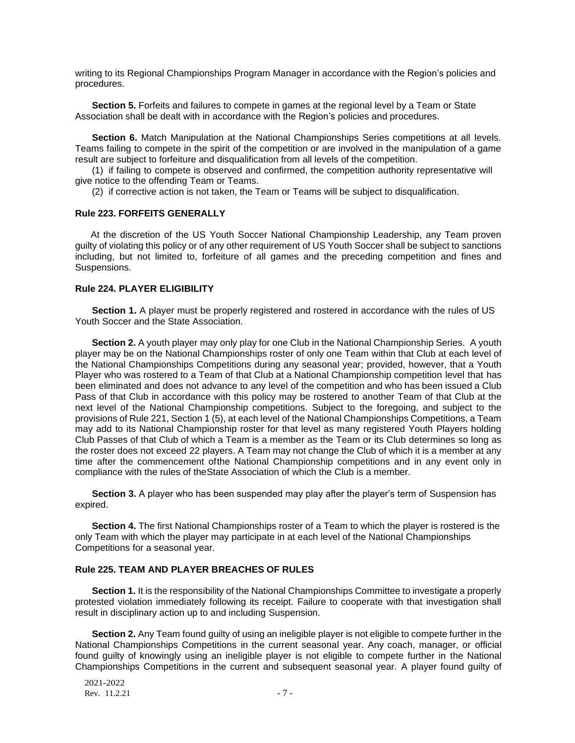writing to its Regional Championships Program Manager in accordance with the Region's policies and procedures.

**Section 5.** Forfeits and failures to compete in games at the regional level by a Team or State Association shall be dealt with in accordance with the Region's policies and procedures.

**Section 6.** Match Manipulation at the National Championships Series competitions at all levels. Teams failing to compete in the spirit of the competition or are involved in the manipulation of a game result are subject to forfeiture and disqualification from all levels of the competition.

(1) if failing to compete is observed and confirmed, the competition authority representative will give notice to the offending Team or Teams.

(2) if corrective action is not taken, the Team or Teams will be subject to disqualification.

#### **Rule 223. FORFEITS GENERALLY**

At the discretion of the US Youth Soccer National Championship Leadership, any Team proven guilty of violating this policy or of any other requirement of US Youth Soccer shall be subject to sanctions including, but not limited to, forfeiture of all games and the preceding competition and fines and Suspensions.

## **Rule 224. PLAYER ELIGIBILITY**

**Section 1.** A player must be properly registered and rostered in accordance with the rules of US Youth Soccer and the State Association.

**Section 2.** A youth player may only play for one Club in the National Championship Series. A youth player may be on the National Championships roster of only one Team within that Club at each level of the National Championships Competitions during any seasonal year; provided, however, that a Youth Player who was rostered to a Team of that Club at a National Championship competition level that has been eliminated and does not advance to any level of the competition and who has been issued a Club Pass of that Club in accordance with this policy may be rostered to another Team of that Club at the next level of the National Championship competitions. Subject to the foregoing, and subject to the provisions of Rule 221, Section 1 (5), at each level of the National Championships Competitions, a Team may add to its National Championship roster for that level as many registered Youth Players holding Club Passes of that Club of which a Team is a member as the Team or its Club determines so long as the roster does not exceed 22 players. A Team may not change the Club of which it is a member at any time after the commencement ofthe National Championship competitions and in any event only in compliance with the rules of theState Association of which the Club is a member.

**Section 3.** A player who has been suspended may play after the player's term of Suspension has expired.

**Section 4.** The first National Championships roster of a Team to which the player is rostered is the only Team with which the player may participate in at each level of the National Championships Competitions for a seasonal year.

#### **Rule 225. TEAM AND PLAYER BREACHES OF RULES**

**Section 1.** It is the responsibility of the National Championships Committee to investigate a properly protested violation immediately following its receipt. Failure to cooperate with that investigation shall result in disciplinary action up to and including Suspension.

**Section 2.** Any Team found guilty of using an ineligible player is not eligible to compete further in the National Championships Competitions in the current seasonal year. Any coach, manager, or official found guilty of knowingly using an ineligible player is not eligible to compete further in the National Championships Competitions in the current and subsequent seasonal year. A player found guilty of

2021-2022 Rev.  $11.2.21$  - 7 -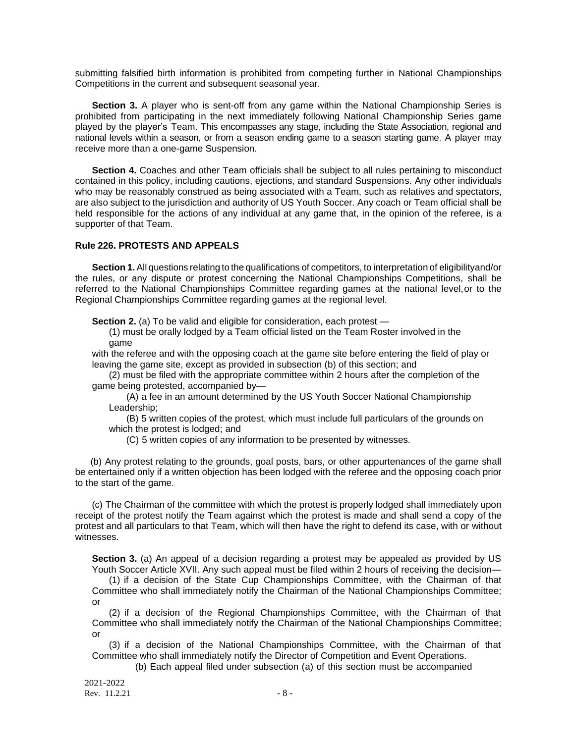submitting falsified birth information is prohibited from competing further in National Championships Competitions in the current and subsequent seasonal year.

**Section 3.** A player who is sent-off from any game within the National Championship Series is prohibited from participating in the next immediately following National Championship Series game played by the player's Team. This encompasses any stage, including the State Association, regional and national levels within a season, or from a season ending game to a season starting game. A player may receive more than a one-game Suspension.

**Section 4.** Coaches and other Team officials shall be subject to all rules pertaining to misconduct contained in this policy, including cautions, ejections, and standard Suspensions. Any other individuals who may be reasonably construed as being associated with a Team, such as relatives and spectators, are also subject to the jurisdiction and authority of US Youth Soccer. Any coach or Team official shall be held responsible for the actions of any individual at any game that, in the opinion of the referee, is a supporter of that Team.

## **Rule 226. PROTESTS AND APPEALS**

**Section 1.** All questions relating to the qualifications of competitors, to interpretation of eligibilityand/or the rules, or any dispute or protest concerning the National Championships Competitions, shall be referred to the National Championships Committee regarding games at the national level,or to the Regional Championships Committee regarding games at the regional level.

**Section 2.** (a) To be valid and eligible for consideration, each protest —

(1) must be orally lodged by a Team official listed on the Team Roster involved in the game

with the referee and with the opposing coach at the game site before entering the field of play or leaving the game site, except as provided in subsection (b) of this section; and

(2) must be filed with the appropriate committee within 2 hours after the completion of the game being protested, accompanied by—

(A) a fee in an amount determined by the US Youth Soccer National Championship Leadership;

(B) 5 written copies of the protest, which must include full particulars of the grounds on which the protest is lodged; and

(C) 5 written copies of any information to be presented by witnesses.

(b) Any protest relating to the grounds, goal posts, bars, or other appurtenances of the game shall be entertained only if a written objection has been lodged with the referee and the opposing coach prior to the start of the game.

(c) The Chairman of the committee with which the protest is properly lodged shall immediately upon receipt of the protest notify the Team against which the protest is made and shall send a copy of the protest and all particulars to that Team, which will then have the right to defend its case, with or without witnesses.

**Section 3.** (a) An appeal of a decision regarding a protest may be appealed as provided by US Youth Soccer Article XVII. Any such appeal must be filed within 2 hours of receiving the decision—

(1) if a decision of the State Cup Championships Committee, with the Chairman of that Committee who shall immediately notify the Chairman of the National Championships Committee; or

(2) if a decision of the Regional Championships Committee, with the Chairman of that Committee who shall immediately notify the Chairman of the National Championships Committee; or

(3) if a decision of the National Championships Committee, with the Chairman of that Committee who shall immediately notify the Director of Competition and Event Operations.

(b) Each appeal filed under subsection (a) of this section must be accompanied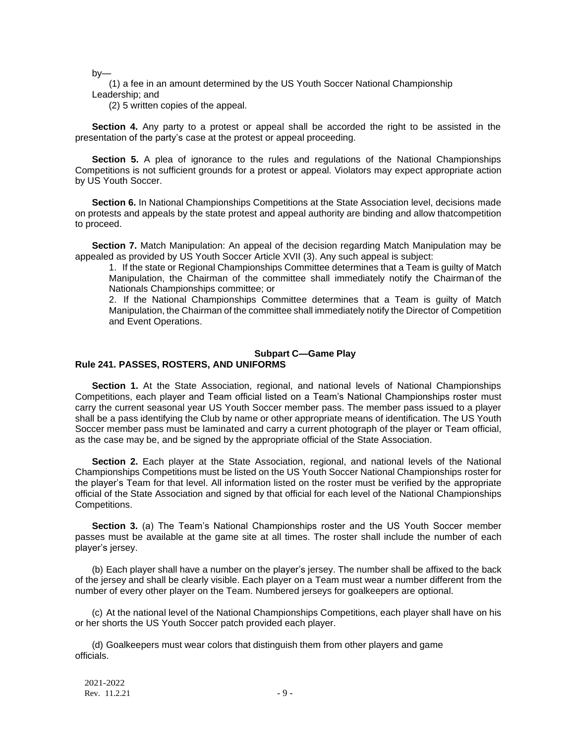by—

(1) a fee in an amount determined by the US Youth Soccer National Championship Leadership; and

(2) 5 written copies of the appeal.

**Section 4.** Any party to a protest or appeal shall be accorded the right to be assisted in the presentation of the party's case at the protest or appeal proceeding.

**Section 5.** A plea of ignorance to the rules and regulations of the National Championships Competitions is not sufficient grounds for a protest or appeal. Violators may expect appropriate action by US Youth Soccer.

**Section 6.** In National Championships Competitions at the State Association level, decisions made on protests and appeals by the state protest and appeal authority are binding and allow thatcompetition to proceed.

**Section 7.** Match Manipulation: An appeal of the decision regarding Match Manipulation may be appealed as provided by US Youth Soccer Article XVII (3). Any such appeal is subject:

1. If the state or Regional Championships Committee determines that a Team is guilty of Match Manipulation, the Chairman of the committee shall immediately notify the Chairmanof the Nationals Championships committee; or

2. If the National Championships Committee determines that a Team is guilty of Match Manipulation, the Chairman of the committee shall immediately notify the Director of Competition and Event Operations.

### **Subpart C—Game Play**

### **Rule 241. PASSES, ROSTERS, AND UNIFORMS**

**Section 1.** At the State Association, regional, and national levels of National Championships Competitions, each player and Team official listed on a Team's National Championships roster must carry the current seasonal year US Youth Soccer member pass. The member pass issued to a player shall be a pass identifying the Club by name or other appropriate means of identification. The US Youth Soccer member pass must be laminated and carry a current photograph of the player or Team official, as the case may be, and be signed by the appropriate official of the State Association.

**Section 2.** Each player at the State Association, regional, and national levels of the National Championships Competitions must be listed on the US Youth Soccer National Championships roster for the player's Team for that level. All information listed on the roster must be verified by the appropriate official of the State Association and signed by that official for each level of the National Championships Competitions.

**Section 3.** (a) The Team's National Championships roster and the US Youth Soccer member passes must be available at the game site at all times. The roster shall include the number of each player's jersey.

(b) Each player shall have a number on the player's jersey. The number shall be affixed to the back of the jersey and shall be clearly visible. Each player on a Team must wear a number different from the number of every other player on the Team. Numbered jerseys for goalkeepers are optional.

(c) At the national level of the National Championships Competitions, each player shall have on his or her shorts the US Youth Soccer patch provided each player.

(d) Goalkeepers must wear colors that distinguish them from other players and game officials.

2021-2022 Rev.  $11.2.21$  - 9 -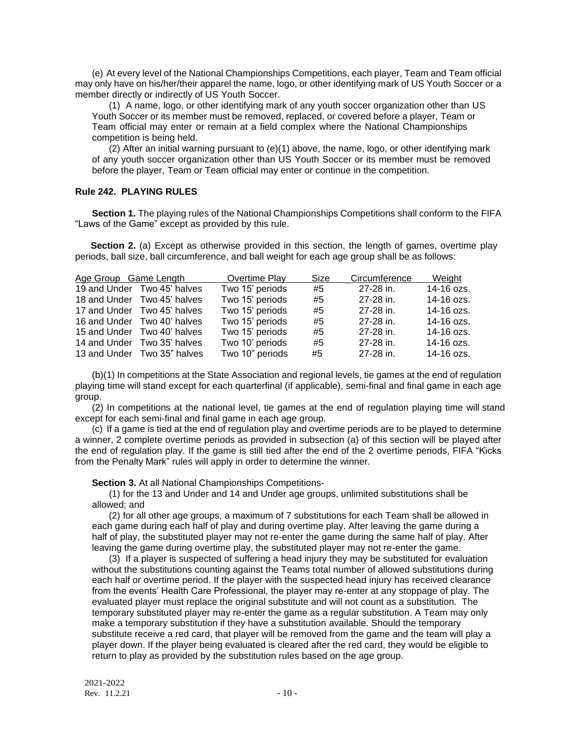(e) At every level of the National Championships Competitions, each player, Team and Team official may only have on his/her/their apparel the name, logo, or other identifying mark of US Youth Soccer or a member directly or indirectly of US Youth Soccer.

(1) A name, logo, or other identifying mark of any youth soccer organization other than US Youth Soccer or its member must be removed, replaced, or covered before a player, Team or Team official may enter or remain at a field complex where the National Championships competition is being held.

(2) After an initial warning pursuant to  $(e)(1)$  above, the name, logo, or other identifying mark of any youth soccer organization other than US Youth Soccer or its member must be removed before the player, Team or Team official may enter or continue in the competition.

# **Rule 242. PLAYING RULES**

**Section 1.** The playing rules of the National Championships Competitions shall conform to the FIFA "Laws of the Game" except as provided by this rule.

**Section 2.** (a) Except as otherwise provided in this section, the length of games, overtime play periods, ball size, ball circumference, and ball weight for each age group shall be as follows:

| Age Group Game Length |                             | Overtime Play   | Size | Circumference | Weight     |
|-----------------------|-----------------------------|-----------------|------|---------------|------------|
|                       | 19 and Under Two 45' halves | Two 15' periods | #5   | 27-28 in.     | 14-16 ozs. |
|                       | 18 and Under Two 45' halves | Two 15' periods | #5   | 27-28 in.     | 14-16 ozs. |
|                       | 17 and Under Two 45' halves | Two 15' periods | #5   | 27-28 in.     | 14-16 ozs. |
|                       | 16 and Under Two 40' halves | Two 15' periods | #5   | 27-28 in.     | 14-16 ozs. |
|                       | 15 and Under Two 40' halves | Two 15' periods | #5   | 27-28 in.     | 14-16 ozs. |
|                       | 14 and Under Two 35' halves | Two 10' periods | #5   | 27-28 in.     | 14-16 ozs. |
|                       | 13 and Under Two 35" halves | Two 10" periods | #5   | 27-28 in.     | 14-16 ozs. |

(b)(1) In competitions at the State Association and regional levels, tie games at the end of regulation playing time will stand except for each quarterfinal (if applicable), semi-final and final game in each age group.

(2) In competitions at the national level, tie games at the end of regulation playing time will stand except for each semi-final and final game in each age group.

(c) If a game is tied at the end of regulation play and overtime periods are to be played to determine a winner, 2 complete overtime periods as provided in subsection (a) of this section will be played after the end of regulation play. If the game is still tied after the end of the 2 overtime periods, FIFA "Kicks from the Penalty Mark" rules will apply in order to determine the winner.

**Section 3.** At all National Championships Competitions-

(1) for the 13 and Under and 14 and Under age groups, unlimited substitutions shall be allowed; and

(2) for all other age groups, a maximum of 7 substitutions for each Team shall be allowed in each game during each half of play and during overtime play. After leaving the game during a half of play, the substituted player may not re-enter the game during the same half of play. After leaving the game during overtime play, the substituted player may not re-enter the game.

(3) If a player is suspected of suffering a head injury they may be substituted for evaluation without the substitutions counting against the Teams total number of allowed substitutions during each half or overtime period. If the player with the suspected head injury has received clearance from the events' Health Care Professional, the player may re-enter at any stoppage of play. The evaluated player must replace the original substitute and will not count as a substitution. The temporary substituted player may re-enter the game as a regular substitution. A Team may only make a temporary substitution if they have a substitution available. Should the temporary substitute receive a red card, that player will be removed from the game and the team will play a player down. If the player being evaluated is cleared after the red card, they would be eligible to return to play as provided by the substitution rules based on the age group.